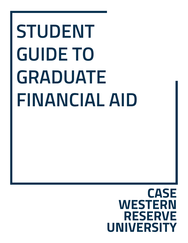# **STUDENT GUIDE TO GRADUATE FINANCIAL AID**

# **CASE WESTERN RESERVE UNIVERSITY**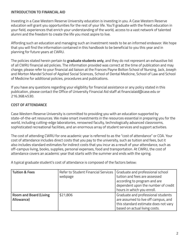# **INTRODUCTION TO FINANCIAL AID**

Investing in a Case Western Reserve University education is investing in you. A Case Western Reserve education will grant you opportunities for the rest of your life. You'll graduate with the finest education in your field, experiences that enrich your understanding of the world, access to a vast network of talented alumni and the freedom to create the life you most aspire to live.

Affording such an education and managing such an investment needs to be an informed endeavor. We hope that you will find the information contained in this handbook to be beneficial to you this year and in planning for future years at CWRU.

The policies stated herein pertain to **graduate students only**, and they do not represent an exhaustive list of all CWRU financial aid policies. The information provided was correct at the time of publication and may change; please refer to your financial aid liaison at the Frances Payne Bolton School of Nursing, Jack, Joseph and Morton Mandel School of Applied Social Sciences, School of Dental Medicine, School of Law and School of Medicine for additional policies, procedures and publications.

If you have any questions regarding your eligibility for financial assistance or any policy stated in this publication, please contact the Office of University Financial Aid staff at financialaid@case.edu or 216.368.4530.

# **COST OF ATTENDANCE**

Case Western Reserve University is committed to providing you with an education supported by state-of-the-art resources. We make smart investments in the resources essential in preparing you for the world, including cutting-edge laboratories, renowned faculty, technologically advanced classrooms, sophisticated recreational facilities, and an enormous array of student services and support activities.

The cost of attending CWRU for one academic year is referred to as the "cost of attendance" or COA. Your cost of attendance includes direct costs that you pay to the university, such as tuition and fees, but it also includes standard estimates for indirect costs that you incur as a result of your attendance, such as off-campus living, books, supplies, personal expenses, food and transportation. At CWRU, the cost of attendance covers an academic year that starts with the summer and ends with the spring.

A typical graduate student's cost of attendance is composed of the factors below:

| <b>Tuition &amp; Fees</b>                   | Refer to Student Financial Services<br>webpage | Graduate and professional school<br>tuition and fees are assessed<br>according to program and are<br>dependent upon the number of credit<br>hours in which you enroll. |
|---------------------------------------------|------------------------------------------------|------------------------------------------------------------------------------------------------------------------------------------------------------------------------|
| <b>Room and Board (Living</b><br>Allowance) | \$21,806                                       | Graduate and professional students<br>are assumed to live off campus, and<br>this standard estimate does not vary<br>based on actual living costs.                     |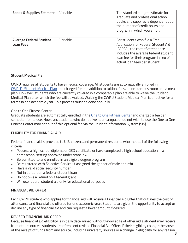| <b>Books &amp; Supplies Estimate</b>               | Variable | The standard budget estimate for<br>graduate and professional school<br>books and supplies is dependent upon<br>the number of credit hours and<br>program in which you enroll.                                           |
|----------------------------------------------------|----------|--------------------------------------------------------------------------------------------------------------------------------------------------------------------------------------------------------------------------|
| <b>Average Federal Student</b><br><b>Loan Fees</b> | Variable | For students who file a Free<br>Application for Federal Student Aid<br>(FAFSA), the cost of attendance<br>includes the average federal student<br>loan fee for their program in lieu of<br>actual loan fees per student. |

## **Student Medical Plan**

CWRU requires all students to have medical coverage. All students are automatically enrolled in CWRU's Student Medical Plan and charged for it in addition to tuition, fees, an on-campus room and a meal plan. However, students who are currently covered in a comparable plan are able to waive the Student Medical Plan after which the fee will be waived. Waiving the CWRU Student Medical Plan is effective for all terms in one academic year. This process must be done annually.

## One to One Fitness Center

Graduate students are automatically enrolled in the One to One Fitness Center and charged a fee per semester for its use. However, students who do not live near campus or do not wish to use the One to One Fitness Center may opt out of this optional fee via the Student Information System (SIS).

# **ELIGIBILITY FOR FINANCIAL AID**

Federal financial aid is provided to U.S. citizens and permanent residents who meet all of the following criteria:

- Possess a high school diploma or GED certificate or have completed a high school education in a homeschool setting approved under state law
- Be admitted to and enrolled in an eligible degree program
- Be registered with Selective Service (if assigned the gender of male at birth)
- Have a valid social security number
- Not in default on a federal student loan
- Do not owe a refund on a federal grant
- Will use federal student aid only for educational purposes

# **FINANCIAL AID OFFER**

Each CWRU student who applies for financial aid will receive a Financial Aid Offer that outlines the cost of attendance and financial aid offered for one academic year. Students are given the opportunity to accept or decline any type of financial aid and can request a lower amount if desired.

#### **REVISED FINANCIAL AID OFFER**

Because financial aid eligibility is initially determined without knowledge of other aid a student may receive from other sources, students are often sent revised Financial Aid Offers if their eligibility changes because of the receipt of funds from any source, including university sources or a change in eligibility for any reason.3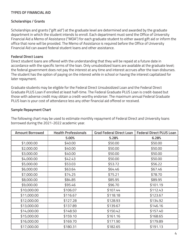#### **TYPES OF FINANCIAL AID**

#### **Scholarships / Grants**

Scholarships and grants ("gift aid") at the graduate level are determined and awarded by the graduate department in which the student intends to enroll. Each department must send the Office of University Financial Aid a Memo of Assistance ("MOA") for each graduate student to either award gift aid or inform the office that none will be provided. The Memo of Assistance is required before the Office of University Financial Aid can award federal student loans and other assistance.

#### **Federal Direct Loans**

Direct student loans are offered with the understanding that they will be repaid at a future date in accordance with the specific terms of the loan. Only unsubsidized loans are available at the graduate level; the federal government does not pay the interest at any time and interest accrues after the loan disburses. The student has the option of paying on the interest while in school or having the interest capitalized for later repayment.

Graduate students may be eligible for the Federal Direct Unsubsidized Loan and the Federal Direct Graduate PLUS Loan if enrolled at least half-time. The Federal Graduate PLUS Loan is credit-based but those with adverse credit may obtain a credit-worthy endorser. The maximum annual Federal Graduate PLUS loan is your cost of attendance less any other financial aid offered or received.

#### **Sample Repayment Chart**

The following chart may be used to estimate monthly repayment of Federal Direct and University loans borrowed during the 2021-2022 academic year.

| <b>Amount Borrowed</b> | <b>Health Professionals</b> | <b>Grad Federal Direct Loan</b> | <b>Federal Direct PLUS Loan</b> |
|------------------------|-----------------------------|---------------------------------|---------------------------------|
|                        | 5.00%                       | 5.28%                           | 6.28%                           |
| \$1,000.00             | \$40.00                     | \$50.00                         | \$50.00                         |
| \$2,000.00             | \$40.00                     | \$50.00                         | \$50.00                         |
| \$3,000.00             | \$40.00                     | \$50.00                         | \$50.00                         |
| \$4,000.00             | \$42.43                     | \$50.00                         | \$50.00                         |
| \$5,000.00             | \$53.03                     | \$53.72                         | \$56.22                         |
| \$6,000.00             | \$63.64                     | \$64.46                         | \$67.46                         |
| \$7,000.00             | \$74.25                     | \$75.21                         | \$78.70                         |
| \$8,000.00             | \$84.85                     | \$85.95                         | \$89.95                         |
| \$9,000.00             | \$95.46                     | \$96.70                         | \$101.19                        |
| \$10,000.00            | \$106.07                    | \$107.44                        | \$112.43                        |
| \$11,000.00            | \$116.67                    | \$118.18                        | \$123.67                        |
| \$12,000.00            | \$127.28                    | \$128.93                        | \$134.92                        |
| \$13,000.00            | \$137.89                    | \$139.67                        | \$146.16                        |
| \$14,000.00            | \$148.50                    | \$150.42                        | \$157.40                        |
| \$15,000.00            | \$159.10                    | \$161.16                        | \$168.65                        |
| \$16,000.00            | \$169.70                    | \$171.90                        | \$179.89                        |
| \$17,000.00            | \$180.31                    | \$182.65                        | \$191.13                        |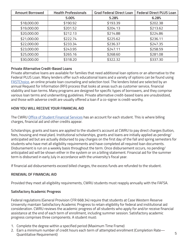| <b>Amount Borrowed</b> | <b>Health Professionals</b> | <b>Grad Federal Direct Loan</b> | <b>Federal Direct PLUS Loan</b> |
|------------------------|-----------------------------|---------------------------------|---------------------------------|
|                        | 5.00%                       | 5.28%                           | 6.28%                           |
| \$18,000.00            | \$190.92                    | \$193.39                        | \$202.38                        |
| \$19,000.00            | \$201.52                    | \$204.13                        | \$213.62                        |
| \$20,000.00            | \$212.13                    | \$214.88                        | \$224.86                        |
| \$21,000.00            | \$222.74                    | \$225.62                        | \$236.11                        |
| \$22,000.00            | \$233.34                    | \$236.37                        | \$247.35                        |
| \$23,000.00            | \$243.95                    | \$247.11                        | \$258.59                        |
| \$25,000.00            | \$265.16                    | \$268.60                        | \$281.08                        |
| \$30,000.00            | \$318.20                    | \$322.32                        | \$337.30                        |

#### **Private Alternative Credit-Based Loans**

Private alternative loans are available for families that need additional loan options or an alternative to the Federal PLUS Loan. Many lenders offer such educational loans and a variety of options can be found using FASTChoice, an online private loan counseling and selection tool. The lenders listed are selected by an annual Request for Information (RFI) process that looks at areas such as customer service, financial stability and loan terms. Many programs are designed for specific types of borrowers, and they comprise various loan terms and underwriting guidelines. Private alternative credit-based loans are unsubsidized, and those with adverse credit are usually offered a loan if a co-signer is credit-worthy.

#### **HOW YOU WILL RECEIVE YOUR FINANCIAL AID**

The CWRU Office of Student Financial Services has an account for each student. This is where billing charges, financial aid and other credits appear.

Scholarships, grants and loans are applied to the student's account at CWRU to pay direct charges (tuition, fees, housing and meal plan). Institutional scholarships, grants and loans are initially applied as pending/ anticipated aid but are actually disbursed to pay charges on the first day of the fall and spring semesters for students who have met all eligibility requirements and have completed all required loan documents. Disbursement is run on a weekly basis throughout the term. Once disbursement occurs, no pending/ anticipated aid will be shown either in the system or on a billing statement. Financial aid for the summer term is disbursed in early July in accordance with the university's fiscal year.

If financial aid disbursements exceed billed charges, the excess funds are refunded to the student.

# **RENEWAL OF FINANCIAL AID**

Provided they meet all eligibility requirements, CWRU students must reapply annually with the FAFSA.

# **Satisfactory Academic Progress**

Federal regulations (General Provision CFR 668.34) require that students at Case Western Reserve University maintain Satisfactory Academic Progress to retain eligibility for federal and institutional aid consideration. CWRU reviews the academic progress of all students who apply for and/or receive financial assistance at the end of each term of enrollment, including summer session. Satisfactory academic progress comprises three components. A student must:

- 1. Complete the degree within a specified period (Maximum Time Frame)
- 2. Earn a minimum number of credit hours each term of attempted enrollment (Completion Rate— Quantitative Requirement) 5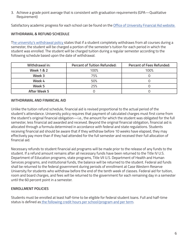3. Achieve a grade point average that is consistent with graduation requirements (GPA—Qualitative Requirement)

Satisfactory academic progress for each school can be found on the Office of University Financial Aid website.

# **WITHDRAWAL & REFUND SCHEDULE**

The university's withdrawal policy states that if a student completely withdraws from all courses during a semester, the student will be charged a portion of the semester's tuition for each period in which the student was enrolled. The student will be charged tuition during a regular semester according to the following schedule based upon the date of withdrawal.

| Withdrawal in:        | <b>Percent of Tuition Refunded:</b> | <b>Percent of Fees Refunded:</b> |
|-----------------------|-------------------------------------|----------------------------------|
| <b>Week 1 &amp; 2</b> | 100%                                | 100%                             |
| Week 3                | 75%                                 |                                  |
| Week 4                | 50%                                 |                                  |
| Week 5                | 25%                                 |                                  |
| After Week 5          |                                     |                                  |

#### **WITHDRAWAL AND FINANCIAL AID**

Unlike the tuition refund schedule, financial aid is revised proportional to the actual period of the student's attendance. University policy requires that payment of calculated charges must first come from the student's original financial obligation—i.e., the amount for which the student was obligated for the full semester, less financial aid awarded and received. Beyond the original financial obligation, financial aid is allocated through a formula determined in accordance with federal and state regulations. Students receiving financial aid should be aware that if they withdraw before 10 weeks have elapsed, they may effectively pay more than if they had attended for the full semester and received their full allocation of financial aid.

Necessary refunds to student financial aid programs will be made prior to the release of any funds to the student. If a refund amount remains after all necessary funds have been returned to the Title IV U.S. Department of Education programs, state programs, Title VII U.S. Department of Health and Human Services programs, and institutional funds, the balance will be returned to the student. Federal aid funds shall be returned to the federal government during periods of enrollment at Case Western Reserve University for students who withdraw before the end of the tenth week of classes. Federal aid for tuition, room and board charges, and fees will be returned to the government for each remaining day in a semester until the 60 percent point in a semester.

#### **ENROLLMENT POLICIES**

Students must be enrolled at least half-time to be eligible for federal student loans. Full and half-time status is defined as the following credit hours per school/program and per term.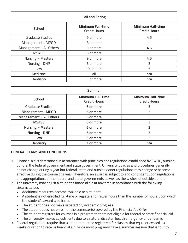| <b>Fall and Spring</b>  |                                                 |                                                 |  |
|-------------------------|-------------------------------------------------|-------------------------------------------------|--|
| <b>School</b>           | <b>Minimum Full-time</b><br><b>Credit Hours</b> | <b>Minimum Half-time</b><br><b>Credit Hours</b> |  |
| <b>Graduate Studies</b> | 9 or more                                       | 4.5                                             |  |
| Management - MPOD       | 8 or more                                       | 4                                               |  |
| Management - All Others | 9 or more                                       | 4.5                                             |  |
| <b>MSASS</b>            | 6 or more                                       | 3                                               |  |
| Nursing - Masters       | 9 or more                                       | 4.5                                             |  |
| Nursing - DNP           | 6 or more                                       | 3                                               |  |
| Law                     | 10 or more                                      | 5                                               |  |
| Medicine                | all                                             | n/a                                             |  |
| Dentistry               | 1 or more                                       | n/a                                             |  |

| Summer                   |                                                 |                                                 |  |
|--------------------------|-------------------------------------------------|-------------------------------------------------|--|
| <b>School</b>            | <b>Minimum Full-time</b><br><b>Credit Hours</b> | <b>Minimum Half-time</b><br><b>Credit Hours</b> |  |
| <b>Graduate Studies</b>  | 6 or more                                       |                                                 |  |
| <b>Management - MPOD</b> | 6 or more                                       | 3                                               |  |
| Management - All Others  | 6 or more                                       |                                                 |  |
| <b>MSASS</b>             | 6 or more                                       |                                                 |  |
| <b>Nursing - Masters</b> | 6 or more                                       | 3                                               |  |
| <b>Nursing - DNP</b>     | 6 or more                                       | 3                                               |  |
| Law                      | 5 or more                                       |                                                 |  |
| Dentistry                | 1 or more                                       | n/a                                             |  |

#### **GENERAL TERMS AND CONDITIONS**

- 1. Financial aid is determined in accordance with principles and regulations established by CWRU, outside donors, the federal government and state government. University policies and procedures generally do not change during a year but federal, state and outside donor regulations may change or become effective during the course of a year. Therefore, an award is subject to and contingent upon regulations and appropriations of the federal and state governments as well as the wishes of outside donors.
- 2. The university may adjust a student's financial aid at any time in accordance with the following circumstances:
	- Additional resources become available to a student
	- A student is not enrolled full-time or registers for fewer hours than the number of hours upon which the student's award was based
	- The student does not make satisfactory academic progress
	- The student does not enroll for the semester(s) covered by the Financial Aid Offer
	- The student registers for courses in a program that are not eligible for federal or state financial aid
	- The university makes adjustments due to a natural disaster, health emergency or pandemic
- 3. Federal regulations require that a student must be registered for classes that equal or exceed 10 weeks duration to receive financial aid. Since most programs have a summer session that is four to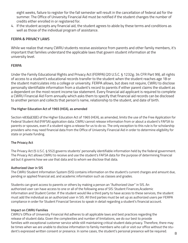eight weeks, failure to register for the fall semester will result in the cancellation of federal aid for the summer. The Office of University Financial Aid must be notified if the student changes the number of credits either enrolled in or registered for.

4. If the student accepts any financial aid, the student agrees to abide by these terms and conditions as well as those of the individual program of assistance.

## **FERPA & PRIVACY LAWS**

While we realize that many CWRU students receive assistance from parents and other family members, it's important that families understand the applicable laws that govern student information at the university level.

## **FERPA**

Under the Family Educational Rights and Privacy Act (FERPA) (20 U.S.C. § 1232g; 34 CFR Part 99), all rights of access to a student's educational records transfer to the student when the student reaches age 18 or the student matriculates into a college or university. FERPA allows, but does not require, CWRU to disclose personally identifiable information from a student's record to parents if either parent claims the student as a dependent on the most recent income tax statement. Every financial aid applicant is required to complete a CWRU Financial Aid Form annually which asks them to specify that financial aid records can be disclosed to another person and collects that person's name, relationship to the student, and date of birth.

#### **The Higher Education Act of 1965 (HEA), as amended**

Section 483(a)(3)(E) of the Higher Education Act of 1965 (HEA), as amended, limits the use of the Free Application for Federal Student Aid (FAFSA) application data. CWRU cannot release information from or about a student's FAFSA to parents or spouses, even if a student signs a release for us to do so. The only exception to this rule is for scholarship providers who may need financial data from the Office of University Financial Aid in order to determine eligibility for state or private funding.

#### **The Privacy Act**

The Privacy Act (5 U.S.C. § 552) governs students' personally identifiable information held by the federal government. The Privacy Act allows CWRU to receive and use the student's FAFSA data for the purpose of determining financial aid but it governs how we use that data and to whom we disclose that data.

#### **Authorized User in SIS**

The CWRU Student Information System (SIS) contains information on the student's current charges and amount due, pending or applied financial aid, and academic information such as classes and grades.

Students can grant access to parents or others by making a person an "Authorized User" in SIS. An authorized user can have access to one or all of the following area of SIS: Student Finances,Academic Information and Student Center. If the student would like a third party to have access to these services, the student must add the individual as an authorized user in SIS. All third parties must be set up as authorized users per FERPA compliance in order for Student Financial Services to speak in detail regarding a student's financial account.

#### **Impact on CWRU Families**

CWRU's Office of University Financial Aid adheres to all applicable laws and best practices regarding the release of student data. Given the complexities and number of limitations, we do our best to provide families with exceptional customer service while still maintaining critical student data privacy. Therefore, there may be times when we are unable to disclose information to family members who call or visit our office without the student's expressed written consent or presence. In some cases, the student's personal presence will be required.